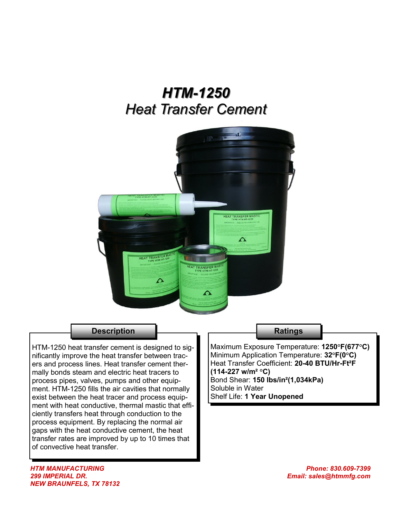# *HTM-1250 Heat Transfer Cement*



### **Description**

HTM-1250 heat transfer cement is designed to significantly improve the heat transfer between tracers and process lines. Heat transfer cement thermally bonds steam and electric heat tracers to process pipes, valves, pumps and other equipment. HTM-1250 fills the air cavities that normally exist between the heat tracer and process equipment with heat conductive, thermal mastic that efficiently transfers heat through conduction to the process equipment. By replacing the normal air gaps with the heat conductive cement, the heat transfer rates are improved by up to 10 times that of convective heat transfer.

#### **Ratings**

Maximum Exposure Temperature: **1250°F(677°C)** Minimum Application Temperature: **32°F(0°C)** Heat Transfer Coefficient: **20-40 BTU/Hr-Ft²F (114-227 w/m² °C)**  Bond Shear: **150 lbs/in²(1,034kPa)** Soluble in Water Shelf Life: **1 Year Unopened**

*HTM MANUFACTURING 299 IMPERIAL DR. NEW BRAUNFELS, TX 78132*

*Phone: 830.609-7399 Email: sales@htmmfg.com*